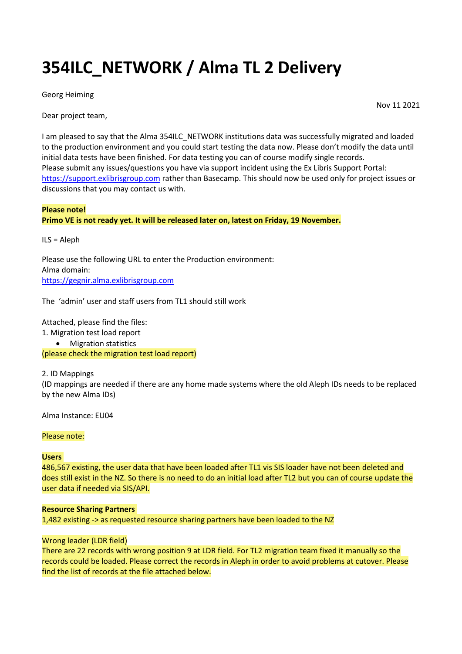# **354ILC\_NETWORK / Alma TL 2 Delivery**

Georg Heiming

Dear project team,

I am pleased to say that the Alma 354ILC\_NETWORK institutions data was successfully migrated and loaded to the production environment and you could start testing the data now. Please don't modify the data until initial data tests have been finished. For data testing you can of course modify single records. Please submit any issues/questions you have via support incident using the Ex Libris Support Portal: [https://support.exlibrisgroup.com](https://exlidp.exlibrisgroup.com/) rather than Basecamp. This should now be used only for project issues or discussions that you may contact us with.

## **Please note! Primo VE is not ready yet. It will be released later on, latest on Friday, 19 November.**

ILS = Aleph

Please use the following URL to enter the Production environment: Alma domain: [https://gegnir.alma.exlibrisgroup.com](https://gegnir.alma.exlibrisgroup.com/)

The 'admin' user and staff users from TL1 should still work

Attached, please find the files:

- 1. Migration test load report
	- Migration statistics

(please check the migration test load report)

2. ID Mappings (ID mappings are needed if there are any home made systems where the old Aleph IDs needs to be replaced

Alma Instance: EU04

by the new Alma IDs)

Please note:

## **Users**

486,567 existing, the user data that have been loaded after TL1 vis SIS loader have not been deleted and does still exist in the NZ. So there is no need to do an initial load after TL2 but you can of course update the user data if needed via SIS/API.

## **Resource Sharing Partners**

1,482 existing -> as requested resource sharing partners have been loaded to the NZ

## Wrong leader (LDR field)

There are 22 records with wrong position 9 at LDR field. For TL2 migration team fixed it manually so the records could be loaded. Please correct the records in Aleph in order to avoid problems at cutover. Please find the list of records at the file attached below.

Nov 11 2021